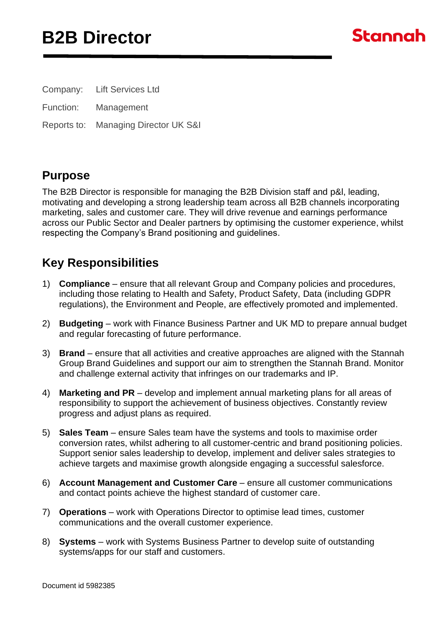## **B2B Director**



Company: Lift Services Ltd

Function: Management

Reports to: Managing Director UK S&I

#### **Purpose**

The B2B Director is responsible for managing the B2B Division staff and p&l, leading, motivating and developing a strong leadership team across all B2B channels incorporating marketing, sales and customer care. They will drive revenue and earnings performance across our Public Sector and Dealer partners by optimising the customer experience, whilst respecting the Company's Brand positioning and guidelines.

### **Key Responsibilities**

- 1) **Compliance** ensure that all relevant Group and Company policies and procedures, including those relating to Health and Safety, Product Safety, Data (including GDPR regulations), the Environment and People, are effectively promoted and implemented.
- 2) **Budgeting** work with Finance Business Partner and UK MD to prepare annual budget and regular forecasting of future performance.
- 3) **Brand** ensure that all activities and creative approaches are aligned with the Stannah Group Brand Guidelines and support our aim to strengthen the Stannah Brand. Monitor and challenge external activity that infringes on our trademarks and IP.
- 4) **Marketing and PR**  develop and implement annual marketing plans for all areas of responsibility to support the achievement of business objectives. Constantly review progress and adjust plans as required.
- 5) **Sales Team** ensure Sales team have the systems and tools to maximise order conversion rates, whilst adhering to all customer-centric and brand positioning policies. Support senior sales leadership to develop, implement and deliver sales strategies to achieve targets and maximise growth alongside engaging a successful salesforce.
- 6) **Account Management and Customer Care** ensure all customer communications and contact points achieve the highest standard of customer care.
- 7) **Operations** work with Operations Director to optimise lead times, customer communications and the overall customer experience.
- 8) **Systems** work with Systems Business Partner to develop suite of outstanding systems/apps for our staff and customers.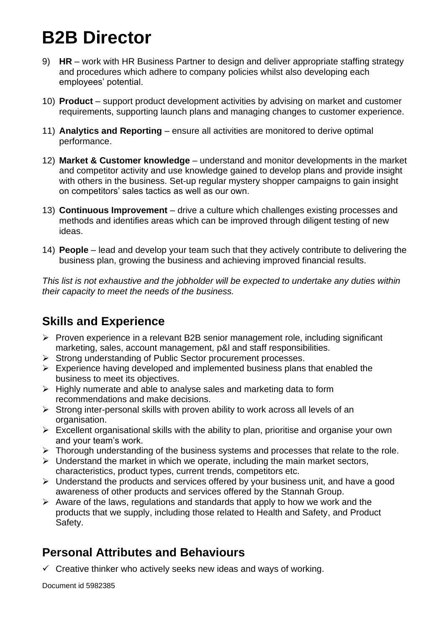## **B2B Director**

- 9) **HR** work with HR Business Partner to design and deliver appropriate staffing strategy and procedures which adhere to company policies whilst also developing each employees' potential.
- 10) **Product** support product development activities by advising on market and customer requirements, supporting launch plans and managing changes to customer experience.
- 11) **Analytics and Reporting** ensure all activities are monitored to derive optimal performance.
- 12) **Market & Customer knowledge** understand and monitor developments in the market and competitor activity and use knowledge gained to develop plans and provide insight with others in the business. Set-up regular mystery shopper campaigns to gain insight on competitors' sales tactics as well as our own.
- 13) **Continuous Improvement**  drive a culture which challenges existing processes and methods and identifies areas which can be improved through diligent testing of new ideas.
- 14) **People** lead and develop your team such that they actively contribute to delivering the business plan, growing the business and achieving improved financial results.

*This list is not exhaustive and the jobholder will be expected to undertake any duties within their capacity to meet the needs of the business.*

## **Skills and Experience**

- ➢ Proven experience in a relevant B2B senior management role, including significant marketing, sales, account management, p&l and staff responsibilities.
- ➢ Strong understanding of Public Sector procurement processes.
- $\triangleright$  Experience having developed and implemented business plans that enabled the business to meet its objectives.
- ➢ Highly numerate and able to analyse sales and marketing data to form recommendations and make decisions.
- ➢ Strong inter-personal skills with proven ability to work across all levels of an organisation.
- $\triangleright$  Excellent organisational skills with the ability to plan, prioritise and organise your own and your team's work.
- ➢ Thorough understanding of the business systems and processes that relate to the role.
- $\triangleright$  Understand the market in which we operate, including the main market sectors, characteristics, product types, current trends, competitors etc.
- ➢ Understand the products and services offered by your business unit, and have a good awareness of other products and services offered by the Stannah Group.
- $\triangleright$  Aware of the laws, regulations and standards that apply to how we work and the products that we supply, including those related to Health and Safety, and Product Safety.

## **Personal Attributes and Behaviours**

 $\checkmark$  Creative thinker who actively seeks new ideas and ways of working.

Document id 5982385